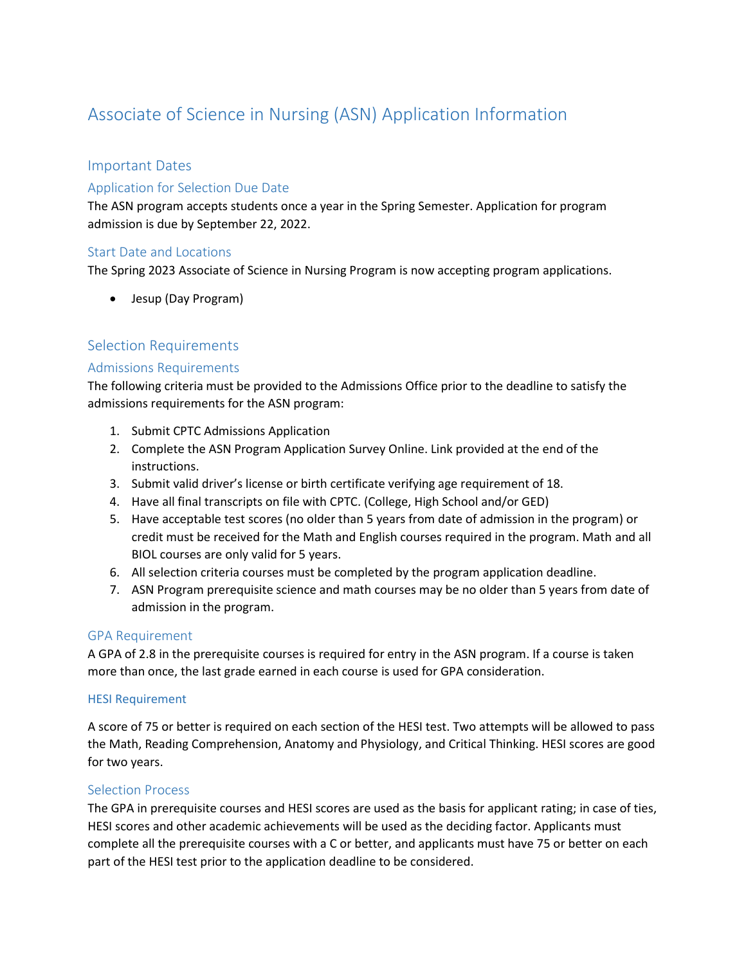# Associate of Science in Nursing (ASN) Application Information

# Important Dates

# Application for Selection Due Date

The ASN program accepts students once a year in the Spring Semester. Application for program admission is due by September 22, 2022.

# Start Date and Locations

The Spring 2023 Associate of Science in Nursing Program is now accepting program applications.

• Jesup (Day Program)

# Selection Requirements

#### Admissions Requirements

The following criteria must be provided to the Admissions Office prior to the deadline to satisfy the admissions requirements for the ASN program:

- 1. Submit CPTC Admissions Application
- 2. Complete the ASN Program Application Survey Online. Link provided at the end of the instructions.
- 3. Submit valid driver's license or birth certificate verifying age requirement of 18.
- 4. Have all final transcripts on file with CPTC. (College, High School and/or GED)
- 5. Have acceptable test scores (no older than 5 years from date of admission in the program) or credit must be received for the Math and English courses required in the program. Math and all BIOL courses are only valid for 5 years.
- 6. All selection criteria courses must be completed by the program application deadline.
- 7. ASN Program prerequisite science and math courses may be no older than 5 years from date of admission in the program.

#### GPA Requirement

A GPA of 2.8 in the prerequisite courses is required for entry in the ASN program. If a course is taken more than once, the last grade earned in each course is used for GPA consideration.

#### HESI Requirement

A score of 75 or better is required on each section of the HESI test. Two attempts will be allowed to pass the Math, Reading Comprehension, Anatomy and Physiology, and Critical Thinking. HESI scores are good for two years.

#### Selection Process

The GPA in prerequisite courses and HESI scores are used as the basis for applicant rating; in case of ties, HESI scores and other academic achievements will be used as the deciding factor. Applicants must complete all the prerequisite courses with a C or better, and applicants must have 75 or better on each part of the HESI test prior to the application deadline to be considered.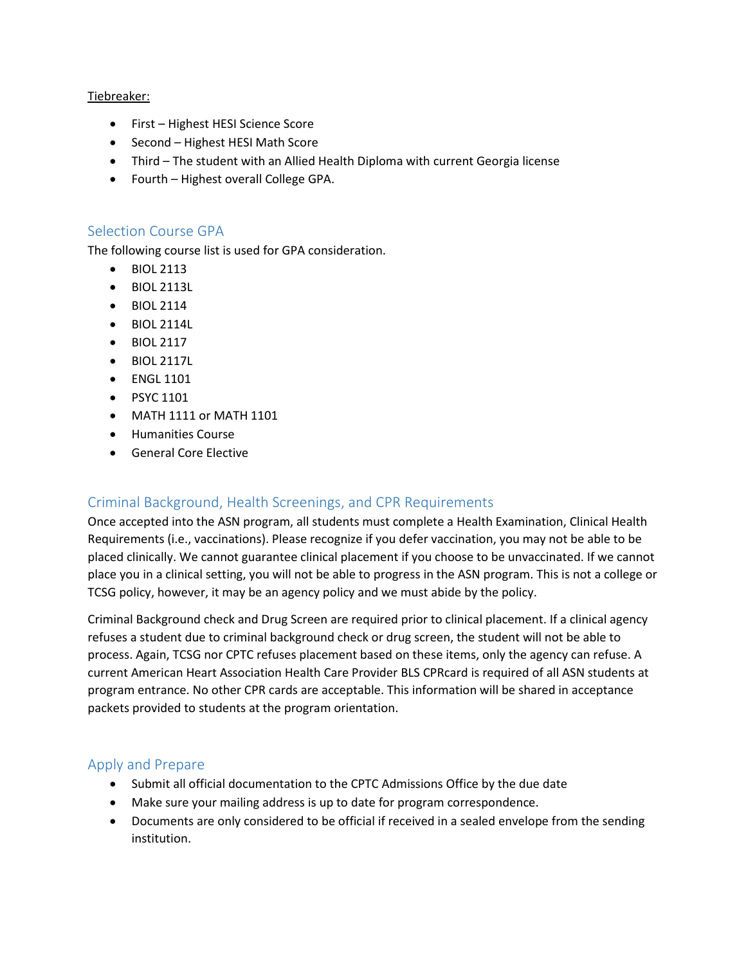#### Tiebreaker:

- First Highest HESI Science Score
- Second Highest HESI Math Score
- Third The student with an Allied Health Diploma with current Georgia license
- Fourth Highest overall College GPA.

# Selection Course GPA

The following course list is used for GPA consideration.

- BIOL 2113
- BIOL 2113L
- BIOL 2114
- BIOL 2114L
- BIOL 2117
- BIOL 2117L
- ENGL 1101
- PSYC 1101
- MATH 1111 or MATH 1101
- Humanities Course
- General Core Elective

# Criminal Background, Health Screenings, and CPR Requirements

Once accepted into the ASN program, all students must complete a Health Examination, Clinical Health Requirements (i.e., vaccinations). Please recognize if you defer vaccination, you may not be able to be placed clinically. We cannot guarantee clinical placement if you choose to be unvaccinated. If we cannot place you in a clinical setting, you will not be able to progress in the ASN program. This is not a college or TCSG policy, however, it may be an agency policy and we must abide by the policy.

Criminal Background check and Drug Screen are required prior to clinical placement. If a clinical agency refuses a student due to criminal background check or drug screen, the student will not be able to process. Again, TCSG nor CPTC refuses placement based on these items, only the agency can refuse. A current American Heart Association Health Care Provider BLS CPRcard is required of all ASN students at program entrance. No other CPR cards are acceptable. This information will be shared in acceptance packets provided to students at the program orientation.

# Apply and Prepare

- Submit all official documentation to the CPTC Admissions Office by the due date
- Make sure your mailing address is up to date for program correspondence.
- Documents are only considered to be official if received in a sealed envelope from the sending institution.